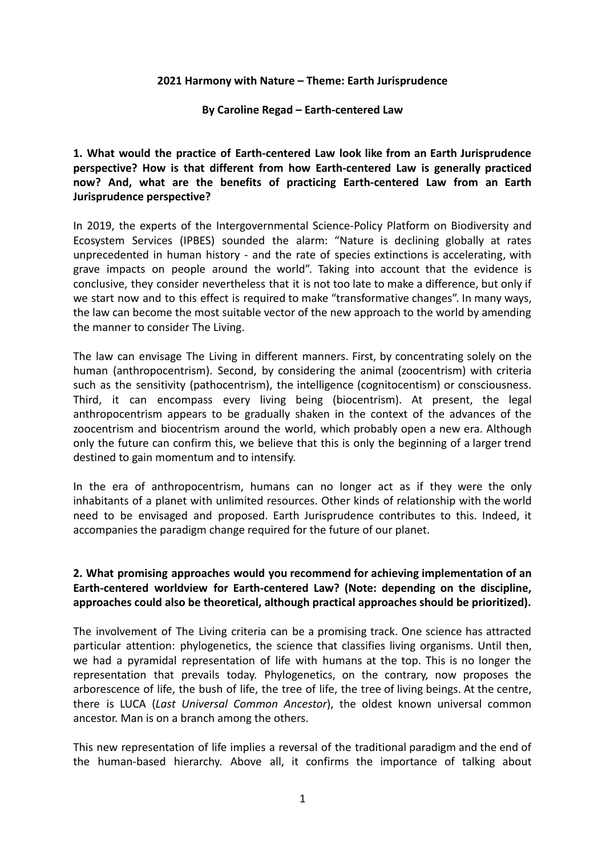### **2021 Harmony with Nature – Theme: Earth Jurisprudence**

### **By Caroline Regad – Earth-centered Law**

**1. What would the practice of Earth-centered Law look like from an Earth Jurisprudence perspective? How is that different from how Earth-centered Law is generally practiced now? And, what are the benefits of practicing Earth-centered Law from an Earth Jurisprudence perspective?**

In 2019, the experts of the Intergovernmental Science-Policy Platform on Biodiversity and Ecosystem Services (IPBES) sounded the alarm: "Nature is declining globally at rates unprecedented in human history - and the rate of species extinctions is accelerating, with grave impacts on people around the world". Taking into account that the evidence is conclusive, they consider nevertheless that it is not too late to make a difference, but only if we start now and to this effect is required to make "transformative changes". In many ways, the law can become the most suitable vector of the new approach to the world by amending the manner to consider The Living.

The law can envisage The Living in different manners. First, by concentrating solely on the human (anthropocentrism). Second, by considering the animal (zoocentrism) with criteria such as the sensitivity (pathocentrism), the intelligence (cognitocentism) or consciousness. Third, it can encompass every living being (biocentrism). At present, the legal anthropocentrism appears to be gradually shaken in the context of the advances of the zoocentrism and biocentrism around the world, which probably open a new era. Although only the future can confirm this, we believe that this is only the beginning of a larger trend destined to gain momentum and to intensify.

In the era of anthropocentrism, humans can no longer act as if they were the only inhabitants of a planet with unlimited resources. Other kinds of relationship with the world need to be envisaged and proposed. Earth Jurisprudence contributes to this. Indeed, it accompanies the paradigm change required for the future of our planet.

## **2. What promising approaches would you recommend for achieving implementation of an Earth-centered worldview for Earth-centered Law? (Note: depending on the discipline, approaches could also be theoretical, although practical approaches should be prioritized).**

The involvement of The Living criteria can be a promising track. One science has attracted particular attention: phylogenetics, the science that classifies living organisms. Until then, we had a pyramidal representation of life with humans at the top. This is no longer the representation that prevails today. Phylogenetics, on the contrary, now proposes the arborescence of life, the bush of life, the tree of life, the tree of living beings. At the centre, there is LUCA (*Last Universal Common Ancestor*), the oldest known universal common ancestor. Man is on a branch among the others.

This new representation of life implies a reversal of the traditional paradigm and the end of the human-based hierarchy. Above all, it confirms the importance of talking about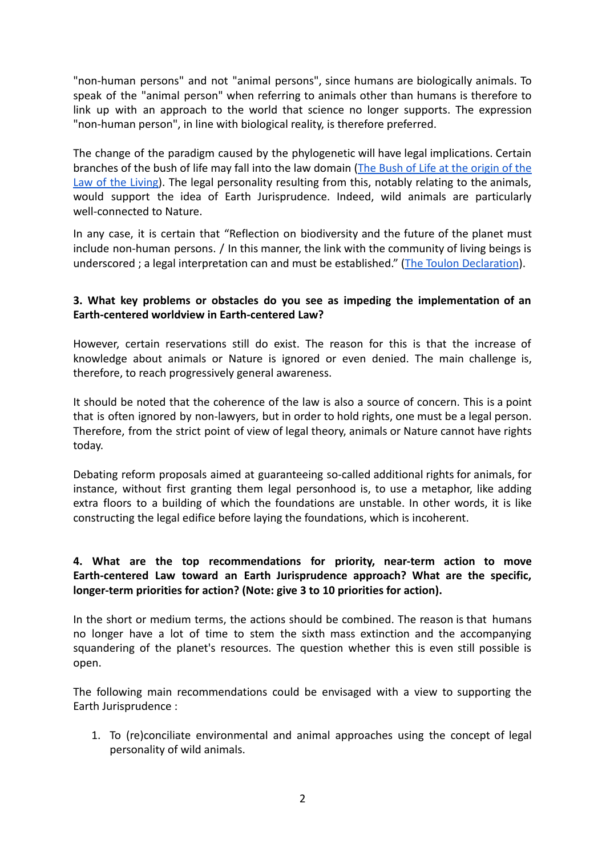"non-human persons" and not "animal persons", since humans are biologically animals. To speak of the "animal person" when referring to animals other than humans is therefore to link up with an approach to the world that science no longer supports. The expression "non-human person", in line with biological reality, is therefore preferred.

The change of the paradigm caused by the phylogenetic will have legal implications. Certain branches of the bush of life may fall into the law domain (The Bush of Life at the [origin](https://hal.archives-ouvertes.fr/hal-03145266) of the Law of the [Living\)](https://hal.archives-ouvertes.fr/hal-03145266). The legal personality resulting from this, notably relating to the animals, would support the idea of Earth Jurisprudence. Indeed, wild animals are particularly well-connected to Nature.

In any case, it is certain that "Reflection on biodiversity and the future of the planet must include non-human persons. / In this manner, the link with the community of living beings is underscored ; a legal interpretation can and must be established." [\(The Toulon Declaration](https://www.univ-tln.fr/Declaration-de-Toulon.html)).

# **3. What key problems or obstacles do you see as impeding the implementation of an Earth-centered worldview in Earth-centered Law?**

However, certain reservations still do exist. The reason for this is that the increase of knowledge about animals or Nature is ignored or even denied. The main challenge is, therefore, to reach progressively general awareness.

It should be noted that the coherence of the law is also a source of concern. This is a point that is often ignored by non-lawyers, but in order to hold rights, one must be a legal person. Therefore, from the strict point of view of legal theory, animals or Nature cannot have rights today.

Debating reform proposals aimed at guaranteeing so-called additional rights for animals, for instance, without first granting them legal personhood is, to use a metaphor, like adding extra floors to a building of which the foundations are unstable. In other words, it is like constructing the legal edifice before laying the foundations, which is incoherent.

# **4. What are the top recommendations for priority, near-term action to move Earth-centered Law toward an Earth Jurisprudence approach? What are the specific, longer-term priorities for action? (Note: give 3 to 10 priorities for action).**

In the short or medium terms, the actions should be combined. The reason is that humans no longer have a lot of time to stem the sixth mass extinction and the accompanying squandering of the planet's resources. The question whether this is even still possible is open.

The following main recommendations could be envisaged with a view to supporting the Earth Jurisprudence :

1. To (re)conciliate environmental and animal approaches using the concept of legal personality of wild animals.